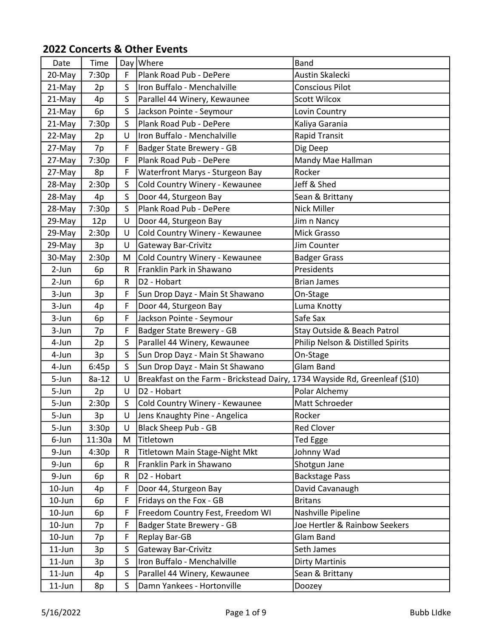| Date      | Time    |              | Day Where                                                                   | <b>Band</b>                       |
|-----------|---------|--------------|-----------------------------------------------------------------------------|-----------------------------------|
| 20-May    | 7:30p   | F            | Plank Road Pub - DePere                                                     | Austin Skalecki                   |
| 21-May    | 2p      | S            | Iron Buffalo - Menchalville                                                 | <b>Conscious Pilot</b>            |
| 21-May    | 4p      | $\mathsf{S}$ | Parallel 44 Winery, Kewaunee                                                | <b>Scott Wilcox</b>               |
| 21-May    | 6p      | S            | Jackson Pointe - Seymour                                                    | Lovin Country                     |
| 21-May    | 7:30p   | S            | Plank Road Pub - DePere                                                     | Kaliya Garania                    |
| 22-May    | 2p      | U            | Iron Buffalo - Menchalville                                                 | Rapid Transit                     |
| 27-May    | 7p      | F            | Badger State Brewery - GB                                                   | Dig Deep                          |
| 27-May    | 7:30p   | F            | Plank Road Pub - DePere                                                     | Mandy Mae Hallman                 |
| 27-May    | 8p      | F            | Waterfront Marys - Sturgeon Bay                                             | Rocker                            |
| 28-May    | 2:30p   | S            | Cold Country Winery - Kewaunee                                              | Jeff & Shed                       |
| 28-May    | 4p      | S            | Door 44, Sturgeon Bay                                                       | Sean & Brittany                   |
| 28-May    | 7:30p   | S.           | Plank Road Pub - DePere                                                     | <b>Nick Miller</b>                |
| 29-May    | 12p     | U            | Door 44, Sturgeon Bay                                                       | Jim n Nancy                       |
| 29-May    | 2:30p   | U            | Cold Country Winery - Kewaunee                                              | Mick Grasso                       |
| 29-May    | 3p      | U            | Gateway Bar-Crivitz                                                         | Jim Counter                       |
| 30-May    | 2:30p   | M            | Cold Country Winery - Kewaunee                                              | <b>Badger Grass</b>               |
| 2-Jun     | 6p      | R            | Franklin Park in Shawano                                                    | Presidents                        |
| 2-Jun     | 6p      | R            | D2 - Hobart                                                                 | <b>Brian James</b>                |
| 3-Jun     | 3p      | F            | Sun Drop Dayz - Main St Shawano                                             | On-Stage                          |
| 3-Jun     | 4p      | F            | Door 44, Sturgeon Bay                                                       | Luma Knotty                       |
| 3-Jun     | 6p      | F            | Jackson Pointe - Seymour                                                    | Safe Sax                          |
| 3-Jun     | 7p      | F            | Badger State Brewery - GB                                                   | Stay Outside & Beach Patrol       |
| 4-Jun     | 2p      | S            | Parallel 44 Winery, Kewaunee                                                | Philip Nelson & Distilled Spirits |
| 4-Jun     | 3p      | $\mathsf{S}$ | Sun Drop Dayz - Main St Shawano                                             | On-Stage                          |
| 4-Jun     | 6:45p   | S            | Sun Drop Dayz - Main St Shawano                                             | Glam Band                         |
| 5-Jun     | $8a-12$ | U            | Breakfast on the Farm - Brickstead Dairy, 1734 Wayside Rd, Greenleaf (\$10) |                                   |
| 5-Jun     | 2p      | U            | D <sub>2</sub> - Hobart                                                     | Polar Alchemy                     |
| 5-Jun     | 2:30p   | $\mathsf{S}$ | Cold Country Winery - Kewaunee                                              | Matt Schroeder                    |
| 5-Jun     | 3p      | U            | Jens Knaughty Pine - Angelica                                               | Rocker                            |
| 5-Jun     | 3:30p   | U            | <b>Black Sheep Pub - GB</b>                                                 | <b>Red Clover</b>                 |
| 6-Jun     | 11:30a  | M            | Titletown                                                                   | Ted Egge                          |
| 9-Jun     | 4:30p   | R            | Titletown Main Stage-Night Mkt                                              | Johnny Wad                        |
| 9-Jun     | 6p      | R            | Franklin Park in Shawano                                                    | Shotgun Jane                      |
| 9-Jun     | 6p      | R            | D2 - Hobart                                                                 | <b>Backstage Pass</b>             |
| 10-Jun    | 4p      | F.           | Door 44, Sturgeon Bay                                                       | David Cavanaugh                   |
| $10$ -Jun | 6p      | F            | Fridays on the Fox - GB                                                     | <b>Britans</b>                    |
| 10-Jun    | 6p      | F            | Freedom Country Fest, Freedom WI                                            | Nashville Pipeline                |
| 10-Jun    | 7p      | F            | Badger State Brewery - GB                                                   | Joe Hertler & Rainbow Seekers     |
| 10-Jun    | 7p      | F            | Replay Bar-GB                                                               | Glam Band                         |
| $11$ -Jun | 3p      | $\mathsf{S}$ | <b>Gateway Bar-Crivitz</b>                                                  | Seth James                        |
| $11$ -Jun | 3p      | S.           | Iron Buffalo - Menchalville                                                 | Dirty Martinis                    |
| $11$ -Jun | 4p      | $\mathsf{S}$ | Parallel 44 Winery, Kewaunee                                                | Sean & Brittany                   |
| $11$ -Jun | 8p      | S            | Damn Yankees - Hortonville                                                  | Doozey                            |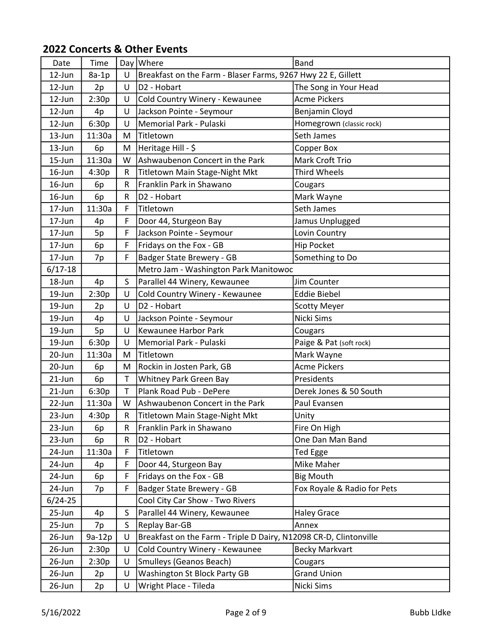| Date        | Time    |              | Day Where                                                         | <b>Band</b>                 |
|-------------|---------|--------------|-------------------------------------------------------------------|-----------------------------|
| 12-Jun      | $8a-1p$ | $\cup$       | Breakfast on the Farm - Blaser Farms, 9267 Hwy 22 E, Gillett      |                             |
| 12-Jun      | 2p      | U            | D <sub>2</sub> - Hobart                                           | The Song in Your Head       |
| 12-Jun      | 2:30p   | U            | Cold Country Winery - Kewaunee                                    | <b>Acme Pickers</b>         |
| 12-Jun      | 4p      | U            | Jackson Pointe - Seymour                                          | Benjamin Cloyd              |
| 12-Jun      | 6:30p   | U            | Memorial Park - Pulaski                                           | Homegrown (classic rock)    |
| 13-Jun      | 11:30a  | M            | Titletown                                                         | Seth James                  |
| 13-Jun      | 6p      | M            | Heritage Hill - \$                                                | Copper Box                  |
| $15 - Jun$  | 11:30a  | W            | Ashwaubenon Concert in the Park                                   | Mark Croft Trio             |
| 16-Jun      | 4:30p   | R            | Titletown Main Stage-Night Mkt                                    | <b>Third Wheels</b>         |
| $16$ -Jun   | 6p      | R            | Franklin Park in Shawano                                          | Cougars                     |
| $16$ -Jun   | 6p      | R            | D <sub>2</sub> - Hobart                                           | Mark Wayne                  |
| 17-Jun      | 11:30a  | F            | Titletown                                                         | Seth James                  |
| 17-Jun      | 4p      | F            | Door 44, Sturgeon Bay                                             | Jamus Unplugged             |
| 17-Jun      | 5p      | F            | Jackson Pointe - Seymour                                          | Lovin Country               |
| 17-Jun      | 6p      | F            | Fridays on the Fox - GB                                           | <b>Hip Pocket</b>           |
| 17-Jun      | 7p      | F            | Badger State Brewery - GB                                         | Something to Do             |
| $6/17 - 18$ |         |              | Metro Jam - Washington Park Manitowoc                             |                             |
| 18-Jun      | 4p      | S            | Parallel 44 Winery, Kewaunee                                      | Jim Counter                 |
| 19-Jun      | 2:30p   | $\cup$       | Cold Country Winery - Kewaunee                                    | <b>Eddie Biebel</b>         |
| 19-Jun      | 2p      | U            | D <sub>2</sub> - Hobart                                           | Scotty Meyer                |
| 19-Jun      | 4p      | U            | Jackson Pointe - Seymour                                          | Nicki Sims                  |
| 19-Jun      | 5p      | $\cup$       | Kewaunee Harbor Park                                              | Cougars                     |
| 19-Jun      | 6:30p   | U            | Memorial Park - Pulaski                                           | Paige & Pat (soft rock)     |
| 20-Jun      | 11:30a  | M            | <b>Titletown</b>                                                  | Mark Wayne                  |
| 20-Jun      | 6p      | M            | Rockin in Josten Park, GB                                         | <b>Acme Pickers</b>         |
| $21$ -Jun   | 6p      | T            | Whitney Park Green Bay                                            | Presidents                  |
| 21-Jun      | 6:30p   | $\mathsf T$  | Plank Road Pub - DePere                                           | Derek Jones & 50 South      |
| 22-Jun      | 11:30a  | W            | Ashwaubenon Concert in the Park                                   | Paul Evansen                |
| 23-Jun      | 4:30p   | R            | Titletown Main Stage-Night Mkt                                    | Unity                       |
| 23-Jun      | 6p      | R            | Franklin Park in Shawano                                          | Fire On High                |
| 23-Jun      | 6p      | R            | D <sub>2</sub> - Hobart                                           | One Dan Man Band            |
| 24-Jun      | 11:30a  | F            | Titletown                                                         | <b>Ted Egge</b>             |
| 24-Jun      | 4p      | F            | Door 44, Sturgeon Bay                                             | Mike Maher                  |
| 24-Jun      | 6p      | F            | Fridays on the Fox - GB                                           | <b>Big Mouth</b>            |
| 24-Jun      | 7p      | F            | Badger State Brewery - GB                                         | Fox Royale & Radio for Pets |
| $6/24 - 25$ |         |              | Cool City Car Show - Two Rivers                                   |                             |
| 25-Jun      | 4p      | S            | Parallel 44 Winery, Kewaunee                                      | <b>Haley Grace</b>          |
| 25-Jun      | 7p      | $\mathsf{S}$ | Replay Bar-GB                                                     | Annex                       |
| 26-Jun      | 9a-12p  | U            | Breakfast on the Farm - Triple D Dairy, N12098 CR-D, Clintonville |                             |
| 26-Jun      | 2:30p   | U            | Cold Country Winery - Kewaunee                                    | <b>Becky Markvart</b>       |
| 26-Jun      | 2:30p   | U            | <b>Smulleys (Geanos Beach)</b>                                    | Cougars                     |
| 26-Jun      | 2p      | U            | Washington St Block Party GB                                      | <b>Grand Union</b>          |
| 26-Jun      | 2p      | U            | Wright Place - Tileda                                             | Nicki Sims                  |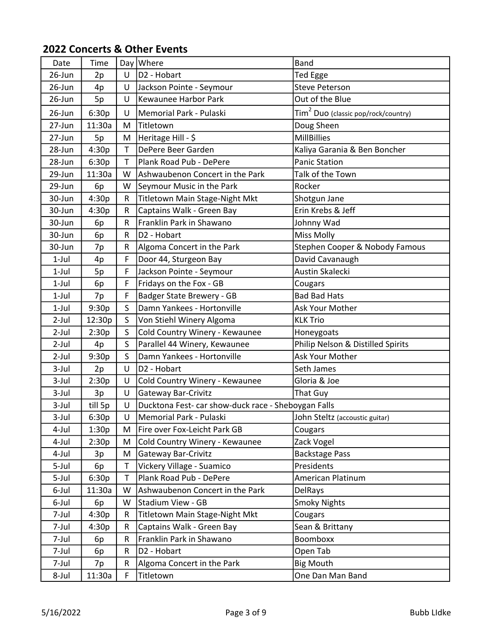| Date       | Time    |              | Day Where                                           | <b>Band</b>                                     |
|------------|---------|--------------|-----------------------------------------------------|-------------------------------------------------|
| 26-Jun     | 2p      | U            | D2 - Hobart                                         | <b>Ted Egge</b>                                 |
| $26$ -Jun  | 4p      | U            | Jackson Pointe - Seymour                            | <b>Steve Peterson</b>                           |
| 26-Jun     | 5p      | U            | Kewaunee Harbor Park                                | Out of the Blue                                 |
| 26-Jun     | 6:30p   | U            | Memorial Park - Pulaski                             | Tim <sup>2</sup> Duo (classic pop/rock/country) |
| 27-Jun     | 11:30a  | M            | Titletown                                           | Doug Sheen                                      |
| $27 - Jun$ | 5p      | M            | Heritage Hill - \$                                  | <b>MillBillies</b>                              |
| 28-Jun     | 4:30p   | T            | DePere Beer Garden                                  | Kaliya Garania & Ben Boncher                    |
| 28-Jun     | 6:30p   | T            | Plank Road Pub - DePere                             | <b>Panic Station</b>                            |
| 29-Jun     | 11:30a  | W            | Ashwaubenon Concert in the Park                     | Talk of the Town                                |
| 29-Jun     | 6p      | W            | Seymour Music in the Park                           | Rocker                                          |
| 30-Jun     | 4:30p   | R            | Titletown Main Stage-Night Mkt                      | Shotgun Jane                                    |
| 30-Jun     | 4:30p   | R            | Captains Walk - Green Bay                           | Erin Krebs & Jeff                               |
| 30-Jun     | 6p      | R            | Franklin Park in Shawano                            | Johnny Wad                                      |
| 30-Jun     | 6p      | R            | D2 - Hobart                                         | <b>Miss Molly</b>                               |
| 30-Jun     | 7p      | R            | Algoma Concert in the Park                          | Stephen Cooper & Nobody Famous                  |
| $1$ -Jul   | 4p      | F            | Door 44, Sturgeon Bay                               | David Cavanaugh                                 |
| $1$ -Jul   | 5p      | F            | Jackson Pointe - Seymour                            | Austin Skalecki                                 |
| $1$ -Jul   | 6p      | F            | Fridays on the Fox - GB                             | Cougars                                         |
| $1$ -Jul   | 7p      | F            | Badger State Brewery - GB                           | <b>Bad Bad Hats</b>                             |
| $1$ -Jul   | 9:30p   | S            | Damn Yankees - Hortonville                          | Ask Your Mother                                 |
| $2$ -Jul   | 12:30p  | S            | Von Stiehl Winery Algoma                            | <b>KLK Trio</b>                                 |
| $2$ -Jul   | 2:30p   | $\mathsf{S}$ | Cold Country Winery - Kewaunee                      | Honeygoats                                      |
| $2$ -Jul   | 4p      | S.           | Parallel 44 Winery, Kewaunee                        | Philip Nelson & Distilled Spirits               |
| $2$ -Jul   | 9:30p   | S            | Damn Yankees - Hortonville                          | Ask Your Mother                                 |
| $3$ -Jul   | 2p      | U            | D2 - Hobart                                         | Seth James                                      |
| $3$ -Jul   | 2:30p   | U            | Cold Country Winery - Kewaunee                      | Gloria & Joe                                    |
| $3$ -Jul   | 3p      | U            | Gateway Bar-Crivitz                                 | That Guy                                        |
| $3$ -Jul   | till 5p | U            | Ducktona Fest- car show-duck race - Sheboygan Falls |                                                 |
| 3-Jul      | 6:30p   | U            | Memorial Park - Pulaski                             | John Steltz (accoustic guitar)                  |
| 4-Jul      | 1:30p   | M            | Fire over Fox-Leicht Park GB                        | Cougars                                         |
| 4-Jul      | 2:30p   | M            | Cold Country Winery - Kewaunee                      | Zack Vogel                                      |
| 4-Jul      | 3p      | M            | Gateway Bar-Crivitz                                 | <b>Backstage Pass</b>                           |
| 5-Jul      | 6p      | $\mathsf T$  | Vickery Village - Suamico                           | Presidents                                      |
| 5-Jul      | 6:30p   | Τ            | Plank Road Pub - DePere                             | American Platinum                               |
| 6-Jul      | 11:30a  | W            | Ashwaubenon Concert in the Park                     | <b>DelRays</b>                                  |
| 6-Jul      | 6p      | W            | Stadium View - GB                                   | <b>Smoky Nights</b>                             |
| 7-Jul      | 4:30p   | R            | Titletown Main Stage-Night Mkt                      | Cougars                                         |
| 7-Jul      | 4:30p   | R            | Captains Walk - Green Bay                           | Sean & Brittany                                 |
| 7-Jul      | 6p      | R            | Franklin Park in Shawano                            | Boomboxx                                        |
| 7-Jul      | 6p      | R            | D <sub>2</sub> - Hobart                             | Open Tab                                        |
| 7-Jul      | 7p      | R            | Algoma Concert in the Park                          | <b>Big Mouth</b>                                |
| 8-Jul      | 11:30a  | F            | Titletown                                           | One Dan Man Band                                |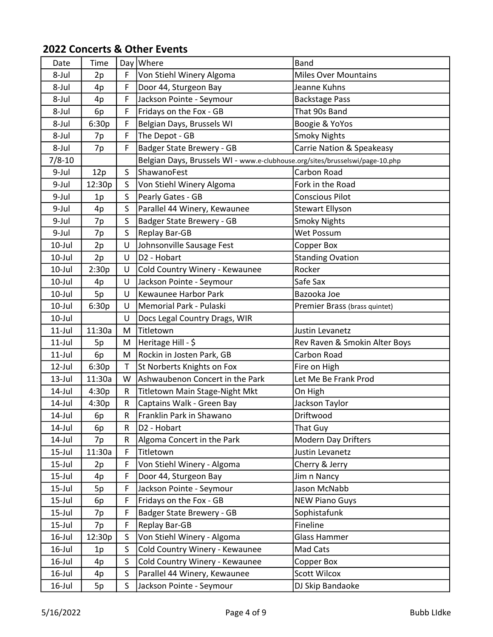| Date       | Time   |              | Day Where                                                                    | <b>Band</b>                   |
|------------|--------|--------------|------------------------------------------------------------------------------|-------------------------------|
| 8-Jul      | 2p     | F            | Von Stiehl Winery Algoma                                                     | <b>Miles Over Mountains</b>   |
| 8-Jul      | 4p     | F            | Door 44, Sturgeon Bay                                                        | Jeanne Kuhns                  |
| 8-Jul      | 4p     | F            | Jackson Pointe - Seymour                                                     | <b>Backstage Pass</b>         |
| 8-Jul      | 6p     | F            | Fridays on the Fox - GB                                                      | That 90s Band                 |
| 8-Jul      | 6:30p  | F            | Belgian Days, Brussels WI                                                    | Boogie & YoYos                |
| 8-Jul      | 7p     | F            | The Depot - GB                                                               | <b>Smoky Nights</b>           |
| 8-Jul      | 7p     | F            | Badger State Brewery - GB                                                    | Carrie Nation & Speakeasy     |
| $7/8 - 10$ |        |              | Belgian Days, Brussels WI - www.e-clubhouse.org/sites/brusselswi/page-10.php |                               |
| 9-Jul      | 12p    | $\mathsf{S}$ | ShawanoFest                                                                  | Carbon Road                   |
| 9-Jul      | 12:30p | S            | Von Stiehl Winery Algoma                                                     | Fork in the Road              |
| 9-Jul      | 1p     | $\mathsf{S}$ | Pearly Gates - GB                                                            | <b>Conscious Pilot</b>        |
| 9-Jul      | 4p     | S            | Parallel 44 Winery, Kewaunee                                                 | <b>Stewart Ellyson</b>        |
| 9-Jul      | 7p     | $\mathsf{S}$ | Badger State Brewery - GB                                                    | <b>Smoky Nights</b>           |
| 9-Jul      | 7p     | S            | Replay Bar-GB                                                                | Wet Possum                    |
| $10$ -Jul  | 2p     | U            | Johnsonville Sausage Fest                                                    | Copper Box                    |
| $10$ -Jul  | 2p     | U            | D <sub>2</sub> - Hobart                                                      | <b>Standing Ovation</b>       |
| 10-Jul     | 2:30p  | U            | Cold Country Winery - Kewaunee                                               | Rocker                        |
| $10$ -Jul  | 4p     | U            | Jackson Pointe - Seymour                                                     | Safe Sax                      |
| $10$ -Jul  | 5p     | U            | Kewaunee Harbor Park                                                         | Bazooka Joe                   |
| $10$ -Jul  | 6:30p  | U            | Memorial Park - Pulaski                                                      | Premier Brass (brass quintet) |
| 10-Jul     |        | U            | Docs Legal Country Drags, WIR                                                |                               |
| $11$ -Jul  | 11:30a | M            | Titletown                                                                    | Justin Levanetz               |
| $11$ -Jul  | 5p     | M            | Heritage Hill - \$                                                           | Rev Raven & Smokin Alter Boys |
| $11$ -Jul  | 6p     | M            | Rockin in Josten Park, GB                                                    | Carbon Road                   |
| 12-Jul     | 6:30p  | Т            | St Norberts Knights on Fox                                                   | Fire on High                  |
| $13$ -Jul  | 11:30a | W            | Ashwaubenon Concert in the Park                                              | Let Me Be Frank Prod          |
| 14-Jul     | 4:30p  | R            | Titletown Main Stage-Night Mkt                                               | On High                       |
| 14-Jul     | 4:30p  | R            | Captains Walk - Green Bay                                                    | Jackson Taylor                |
| 14-Jul     | 6p     | R            | Franklin Park in Shawano                                                     | Driftwood                     |
| 14-Jul     | 6p     | R            | D <sub>2</sub> - Hobart                                                      | That Guy                      |
| 14-Jul     | 7p     | R            | Algoma Concert in the Park                                                   | <b>Modern Day Drifters</b>    |
| $15$ -Jul  | 11:30a | F            | Titletown                                                                    | Justin Levanetz               |
| 15-Jul     | 2p     | F            | Von Stiehl Winery - Algoma                                                   | Cherry & Jerry                |
| 15-Jul     | 4p     | F            | Door 44, Sturgeon Bay                                                        | Jim n Nancy                   |
| 15-Jul     | 5p     | F            | Jackson Pointe - Seymour                                                     | Jason McNabb                  |
| 15-Jul     | 6p     | F            | Fridays on the Fox - GB                                                      | <b>NEW Piano Guys</b>         |
| 15-Jul     | 7p     | F            | Badger State Brewery - GB                                                    | Sophistafunk                  |
| 15-Jul     | 7p     | F            | Replay Bar-GB                                                                | Fineline                      |
| $16$ -Jul  | 12:30p | S            | Von Stiehl Winery - Algoma                                                   | <b>Glass Hammer</b>           |
| $16$ -Jul  | 1p     | S            | Cold Country Winery - Kewaunee                                               | Mad Cats                      |
| $16$ -Jul  | 4p     | $\mathsf{S}$ | Cold Country Winery - Kewaunee                                               | Copper Box                    |
| $16$ -Jul  | 4p     | $\mathsf{S}$ | Parallel 44 Winery, Kewaunee                                                 | <b>Scott Wilcox</b>           |
| $16$ -Jul  | 5p     | S            | Jackson Pointe - Seymour                                                     | DJ Skip Bandaoke              |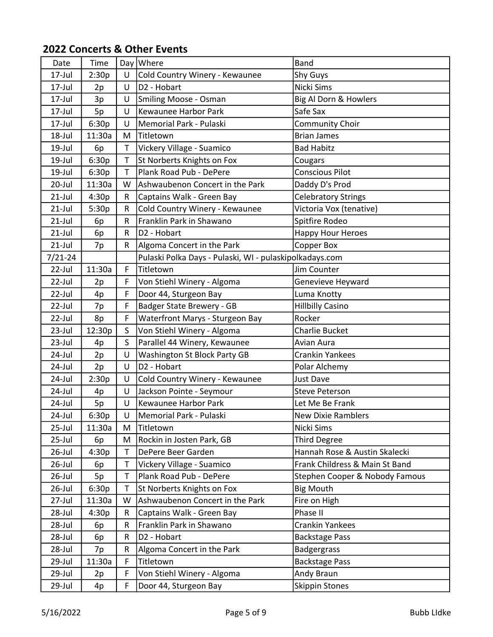| Cold Country Winery - Kewaunee<br>17-Jul<br>2:30p<br>$\cup$<br><b>Shy Guys</b><br>D <sub>2</sub> - Hobart<br>Nicki Sims<br>17-Jul<br>U<br>2p<br>17-Jul<br>U<br>Smiling Moose - Osman<br>Big Al Dorn & Howlers<br>3p<br>Kewaunee Harbor Park<br>Safe Sax<br>17-Jul<br>5p<br>U<br>6:30p<br>Community Choir<br>17-Jul<br>U<br>Memorial Park - Pulaski<br>18-Jul<br>11:30a<br>Titletown<br><b>Brian James</b><br>M<br>19-Jul<br>T<br>Vickery Village - Suamico<br><b>Bad Habitz</b><br>6p<br>St Norberts Knights on Fox<br>19-Jul<br>6:30p<br>T<br>Cougars<br>6:30p<br>Plank Road Pub - DePere<br><b>Conscious Pilot</b><br>19-Jul<br>T<br>11:30a<br>Ashwaubenon Concert in the Park<br>Daddy D's Prod<br>20-Jul<br>W<br>$21$ -Jul<br>4:30p<br>$\mathsf{R}$<br>Captains Walk - Green Bay<br><b>Celebratory Strings</b><br>Victoria Vox (tenative)<br>Cold Country Winery - Kewaunee<br>$21$ -Jul<br>5:30p<br>R<br>$21$ -Jul<br>Franklin Park in Shawano<br>Spitfire Rodeo<br>R<br>6p<br>$21$ -Jul<br>D2 - Hobart<br>Happy Hour Heroes<br>R<br>6p<br>$21$ -Jul<br>Algoma Concert in the Park<br><b>Copper Box</b><br>R<br>7p |
|-------------------------------------------------------------------------------------------------------------------------------------------------------------------------------------------------------------------------------------------------------------------------------------------------------------------------------------------------------------------------------------------------------------------------------------------------------------------------------------------------------------------------------------------------------------------------------------------------------------------------------------------------------------------------------------------------------------------------------------------------------------------------------------------------------------------------------------------------------------------------------------------------------------------------------------------------------------------------------------------------------------------------------------------------------------------------------------------------------------------------|
|                                                                                                                                                                                                                                                                                                                                                                                                                                                                                                                                                                                                                                                                                                                                                                                                                                                                                                                                                                                                                                                                                                                         |
|                                                                                                                                                                                                                                                                                                                                                                                                                                                                                                                                                                                                                                                                                                                                                                                                                                                                                                                                                                                                                                                                                                                         |
|                                                                                                                                                                                                                                                                                                                                                                                                                                                                                                                                                                                                                                                                                                                                                                                                                                                                                                                                                                                                                                                                                                                         |
|                                                                                                                                                                                                                                                                                                                                                                                                                                                                                                                                                                                                                                                                                                                                                                                                                                                                                                                                                                                                                                                                                                                         |
|                                                                                                                                                                                                                                                                                                                                                                                                                                                                                                                                                                                                                                                                                                                                                                                                                                                                                                                                                                                                                                                                                                                         |
|                                                                                                                                                                                                                                                                                                                                                                                                                                                                                                                                                                                                                                                                                                                                                                                                                                                                                                                                                                                                                                                                                                                         |
|                                                                                                                                                                                                                                                                                                                                                                                                                                                                                                                                                                                                                                                                                                                                                                                                                                                                                                                                                                                                                                                                                                                         |
|                                                                                                                                                                                                                                                                                                                                                                                                                                                                                                                                                                                                                                                                                                                                                                                                                                                                                                                                                                                                                                                                                                                         |
|                                                                                                                                                                                                                                                                                                                                                                                                                                                                                                                                                                                                                                                                                                                                                                                                                                                                                                                                                                                                                                                                                                                         |
|                                                                                                                                                                                                                                                                                                                                                                                                                                                                                                                                                                                                                                                                                                                                                                                                                                                                                                                                                                                                                                                                                                                         |
|                                                                                                                                                                                                                                                                                                                                                                                                                                                                                                                                                                                                                                                                                                                                                                                                                                                                                                                                                                                                                                                                                                                         |
|                                                                                                                                                                                                                                                                                                                                                                                                                                                                                                                                                                                                                                                                                                                                                                                                                                                                                                                                                                                                                                                                                                                         |
|                                                                                                                                                                                                                                                                                                                                                                                                                                                                                                                                                                                                                                                                                                                                                                                                                                                                                                                                                                                                                                                                                                                         |
|                                                                                                                                                                                                                                                                                                                                                                                                                                                                                                                                                                                                                                                                                                                                                                                                                                                                                                                                                                                                                                                                                                                         |
|                                                                                                                                                                                                                                                                                                                                                                                                                                                                                                                                                                                                                                                                                                                                                                                                                                                                                                                                                                                                                                                                                                                         |
| Pulaski Polka Days - Pulaski, WI - pulaskipolkadays.com<br>$7/21 - 24$                                                                                                                                                                                                                                                                                                                                                                                                                                                                                                                                                                                                                                                                                                                                                                                                                                                                                                                                                                                                                                                  |
| 22-Jul<br>11:30a<br>F<br>Titletown<br>Jim Counter                                                                                                                                                                                                                                                                                                                                                                                                                                                                                                                                                                                                                                                                                                                                                                                                                                                                                                                                                                                                                                                                       |
| 22-Jul<br>Von Stiehl Winery - Algoma<br>Genevieve Heyward<br>2p<br>F.                                                                                                                                                                                                                                                                                                                                                                                                                                                                                                                                                                                                                                                                                                                                                                                                                                                                                                                                                                                                                                                   |
| F<br>22-Jul<br>Door 44, Sturgeon Bay<br>Luma Knotty<br>4p                                                                                                                                                                                                                                                                                                                                                                                                                                                                                                                                                                                                                                                                                                                                                                                                                                                                                                                                                                                                                                                               |
| <b>Badger State Brewery - GB</b><br><b>Hillbilly Casino</b><br>22-Jul<br>F<br>7p                                                                                                                                                                                                                                                                                                                                                                                                                                                                                                                                                                                                                                                                                                                                                                                                                                                                                                                                                                                                                                        |
| Rocker<br>F<br>Waterfront Marys - Sturgeon Bay<br>22-Jul<br>8p                                                                                                                                                                                                                                                                                                                                                                                                                                                                                                                                                                                                                                                                                                                                                                                                                                                                                                                                                                                                                                                          |
| $\mathsf{S}$<br>Von Stiehl Winery - Algoma<br>23-Jul<br>12:30p<br><b>Charlie Bucket</b>                                                                                                                                                                                                                                                                                                                                                                                                                                                                                                                                                                                                                                                                                                                                                                                                                                                                                                                                                                                                                                 |
| $\mathsf{S}$<br>Parallel 44 Winery, Kewaunee<br>$23$ -Jul<br>Avian Aura<br>4p                                                                                                                                                                                                                                                                                                                                                                                                                                                                                                                                                                                                                                                                                                                                                                                                                                                                                                                                                                                                                                           |
| Washington St Block Party GB<br>24-Jul<br><b>Crankin Yankees</b><br>U<br>2p                                                                                                                                                                                                                                                                                                                                                                                                                                                                                                                                                                                                                                                                                                                                                                                                                                                                                                                                                                                                                                             |
| D2 - Hobart<br>U<br>24-Jul<br>Polar Alchemy<br>2p                                                                                                                                                                                                                                                                                                                                                                                                                                                                                                                                                                                                                                                                                                                                                                                                                                                                                                                                                                                                                                                                       |
| 24-Jul<br>2:30p<br>U<br>Cold Country Winery - Kewaunee<br>Just Dave                                                                                                                                                                                                                                                                                                                                                                                                                                                                                                                                                                                                                                                                                                                                                                                                                                                                                                                                                                                                                                                     |
| Jackson Pointe - Seymour<br>24-Jul<br><b>Steve Peterson</b><br>U<br>4p                                                                                                                                                                                                                                                                                                                                                                                                                                                                                                                                                                                                                                                                                                                                                                                                                                                                                                                                                                                                                                                  |
| 24-Jul<br>Kewaunee Harbor Park<br>U<br>Let Me Be Frank<br>5p                                                                                                                                                                                                                                                                                                                                                                                                                                                                                                                                                                                                                                                                                                                                                                                                                                                                                                                                                                                                                                                            |
| Memorial Park - Pulaski<br>6:30p<br>24-Jul<br>U<br><b>New Dixie Ramblers</b>                                                                                                                                                                                                                                                                                                                                                                                                                                                                                                                                                                                                                                                                                                                                                                                                                                                                                                                                                                                                                                            |
| 25-Jul<br>Nicki Sims<br>11:30a<br>Titletown<br>M                                                                                                                                                                                                                                                                                                                                                                                                                                                                                                                                                                                                                                                                                                                                                                                                                                                                                                                                                                                                                                                                        |
| Rockin in Josten Park, GB<br><b>Third Degree</b><br>25-Jul<br>6p<br>M                                                                                                                                                                                                                                                                                                                                                                                                                                                                                                                                                                                                                                                                                                                                                                                                                                                                                                                                                                                                                                                   |
| T<br>DePere Beer Garden<br>Hannah Rose & Austin Skalecki<br>$26$ -Jul<br>4:30p                                                                                                                                                                                                                                                                                                                                                                                                                                                                                                                                                                                                                                                                                                                                                                                                                                                                                                                                                                                                                                          |
| Vickery Village - Suamico<br>Frank Childress & Main St Band<br>$26$ -Jul<br>6p<br>Τ                                                                                                                                                                                                                                                                                                                                                                                                                                                                                                                                                                                                                                                                                                                                                                                                                                                                                                                                                                                                                                     |
| Plank Road Pub - DePere<br>T<br>Stephen Cooper & Nobody Famous<br>$26$ -Jul<br>5p                                                                                                                                                                                                                                                                                                                                                                                                                                                                                                                                                                                                                                                                                                                                                                                                                                                                                                                                                                                                                                       |
| <b>Big Mouth</b><br>$26$ -Jul<br>St Norberts Knights on Fox<br>6:30p<br>Τ                                                                                                                                                                                                                                                                                                                                                                                                                                                                                                                                                                                                                                                                                                                                                                                                                                                                                                                                                                                                                                               |
| Ashwaubenon Concert in the Park<br>27-Jul<br>11:30a<br>W<br>Fire on High                                                                                                                                                                                                                                                                                                                                                                                                                                                                                                                                                                                                                                                                                                                                                                                                                                                                                                                                                                                                                                                |
| Phase II<br>Captains Walk - Green Bay<br>28-Jul<br>4:30p<br>R                                                                                                                                                                                                                                                                                                                                                                                                                                                                                                                                                                                                                                                                                                                                                                                                                                                                                                                                                                                                                                                           |
| Franklin Park in Shawano<br>Crankin Yankees<br>28-Jul<br>R<br>6p                                                                                                                                                                                                                                                                                                                                                                                                                                                                                                                                                                                                                                                                                                                                                                                                                                                                                                                                                                                                                                                        |
| D2 - Hobart<br>28-Jul<br><b>Backstage Pass</b><br>6p<br>R                                                                                                                                                                                                                                                                                                                                                                                                                                                                                                                                                                                                                                                                                                                                                                                                                                                                                                                                                                                                                                                               |
| Algoma Concert in the Park<br>28-Jul<br><b>Badgergrass</b><br>7p<br>R                                                                                                                                                                                                                                                                                                                                                                                                                                                                                                                                                                                                                                                                                                                                                                                                                                                                                                                                                                                                                                                   |
| 29-Jul<br>Titletown<br><b>Backstage Pass</b><br>11:30a<br>F                                                                                                                                                                                                                                                                                                                                                                                                                                                                                                                                                                                                                                                                                                                                                                                                                                                                                                                                                                                                                                                             |
| Von Stiehl Winery - Algoma<br>Andy Braun<br>29-Jul<br>F<br>2p                                                                                                                                                                                                                                                                                                                                                                                                                                                                                                                                                                                                                                                                                                                                                                                                                                                                                                                                                                                                                                                           |
| 29-Jul<br>Skippin Stones<br>F.<br>Door 44, Sturgeon Bay<br>4p                                                                                                                                                                                                                                                                                                                                                                                                                                                                                                                                                                                                                                                                                                                                                                                                                                                                                                                                                                                                                                                           |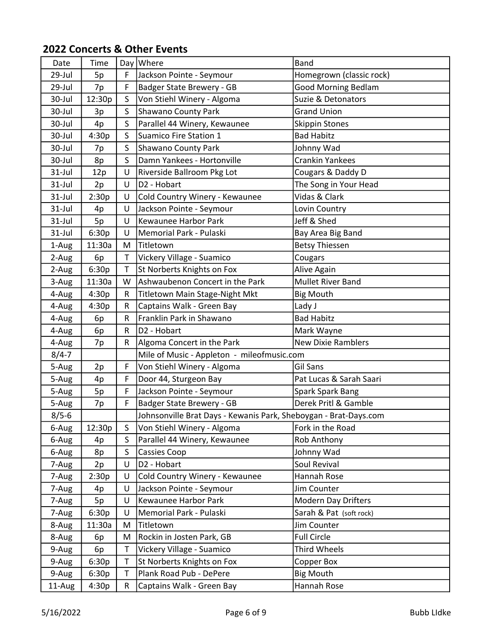| Date      | Time   |              | Day Where                                                        | <b>Band</b>                |
|-----------|--------|--------------|------------------------------------------------------------------|----------------------------|
| 29-Jul    | 5p     | F.           | Jackson Pointe - Seymour                                         | Homegrown (classic rock)   |
| 29-Jul    | 7p     | F            | Badger State Brewery - GB                                        | <b>Good Morning Bedlam</b> |
| 30-Jul    | 12:30p | $\mathsf{S}$ | Von Stiehl Winery - Algoma                                       | Suzie & Detonators         |
| 30-Jul    | 3p     | S.           | Shawano County Park                                              | <b>Grand Union</b>         |
| 30-Jul    | 4p     | $\mathsf{S}$ | Parallel 44 Winery, Kewaunee                                     | <b>Skippin Stones</b>      |
| 30-Jul    | 4:30p  | S            | Suamico Fire Station 1                                           | <b>Bad Habitz</b>          |
| 30-Jul    | 7p     | $\mathsf{S}$ | Shawano County Park                                              | Johnny Wad                 |
| 30-Jul    | 8p     | S            | Damn Yankees - Hortonville                                       | <b>Crankin Yankees</b>     |
| 31-Jul    | 12p    | U            | Riverside Ballroom Pkg Lot                                       | Cougars & Daddy D          |
| $31$ -Jul | 2p     | U            | D <sub>2</sub> - Hobart                                          | The Song in Your Head      |
| 31-Jul    | 2:30p  | U            | Cold Country Winery - Kewaunee                                   | Vidas & Clark              |
| $31$ -Jul | 4p     | U            | Jackson Pointe - Seymour                                         | Lovin Country              |
| $31$ -Jul | 5p     | U            | Kewaunee Harbor Park                                             | Jeff & Shed                |
| $31$ -Jul | 6:30p  | U            | Memorial Park - Pulaski                                          | Bay Area Big Band          |
| 1-Aug     | 11:30a | M            | Titletown                                                        | <b>Betsy Thiessen</b>      |
| 2-Aug     | 6p     | T.           | Vickery Village - Suamico                                        | Cougars                    |
| 2-Aug     | 6:30p  | T            | St Norberts Knights on Fox                                       | Alive Again                |
| 3-Aug     | 11:30a | W            | Ashwaubenon Concert in the Park                                  | Mullet River Band          |
| 4-Aug     | 4:30p  | R            | Titletown Main Stage-Night Mkt                                   | <b>Big Mouth</b>           |
| 4-Aug     | 4:30p  | R            | Captains Walk - Green Bay                                        | Lady J                     |
| 4-Aug     | 6p     | R            | Franklin Park in Shawano                                         | <b>Bad Habitz</b>          |
| 4-Aug     | 6p     | R            | D <sub>2</sub> - Hobart                                          | Mark Wayne                 |
| 4-Aug     | 7p     | R            | Algoma Concert in the Park                                       | <b>New Dixie Ramblers</b>  |
| $8/4 - 7$ |        |              | Mile of Music - Appleton - mileofmusic.com                       |                            |
| 5-Aug     | 2p     | F.           | Von Stiehl Winery - Algoma                                       | Gil Sans                   |
| 5-Aug     | 4p     | F.           | Door 44, Sturgeon Bay                                            | Pat Lucas & Sarah Saari    |
| 5-Aug     | 5p     | F            | Jackson Pointe - Seymour                                         | <b>Spark Spark Bang</b>    |
| 5-Aug     | 7p     | F            | Badger State Brewery - GB                                        | Derek Pritl & Gamble       |
| $8/5 - 6$ |        |              | Johnsonville Brat Days - Kewanis Park, Sheboygan - Brat-Days.com |                            |
| 6-Aug     | 12:30p | S.           | Von Stiehl Winery - Algoma                                       | Fork in the Road           |
| 6-Aug     | 4p     | S            | Parallel 44 Winery, Kewaunee                                     | Rob Anthony                |
| 6-Aug     | 8p     | $\mathsf{S}$ | <b>Cassies Coop</b>                                              | Johnny Wad                 |
| 7-Aug     | 2p     | U            | D <sub>2</sub> - Hobart                                          | Soul Revival               |
| 7-Aug     | 2:30p  | U            | Cold Country Winery - Kewaunee                                   | Hannah Rose                |
| 7-Aug     | 4p     | U            | Jackson Pointe - Seymour                                         | Jim Counter                |
| 7-Aug     | 5p     | U            | Kewaunee Harbor Park                                             | <b>Modern Day Drifters</b> |
| 7-Aug     | 6:30p  | U            | Memorial Park - Pulaski                                          | Sarah & Pat (soft rock)    |
| 8-Aug     | 11:30a | M            | Titletown                                                        | Jim Counter                |
| 8-Aug     | 6p     | M            | Rockin in Josten Park, GB                                        | <b>Full Circle</b>         |
| 9-Aug     | 6p     | T.           | Vickery Village - Suamico                                        | Third Wheels               |
| 9-Aug     | 6:30p  | T.           | St Norberts Knights on Fox                                       | Copper Box                 |
| 9-Aug     | 6:30p  | T            | Plank Road Pub - DePere                                          | <b>Big Mouth</b>           |
| 11-Aug    | 4:30p  | R            | Captains Walk - Green Bay                                        | Hannah Rose                |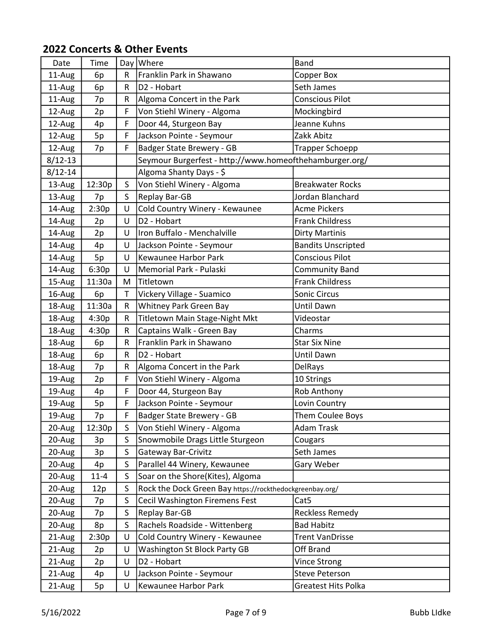| Date        | Time     |              | Day   Where                                              | <b>Band</b>               |
|-------------|----------|--------------|----------------------------------------------------------|---------------------------|
| 11-Aug      | 6p       | $\mathsf{R}$ | Franklin Park in Shawano                                 | <b>Copper Box</b>         |
| 11-Aug      | 6p       | R            | D <sub>2</sub> - Hobart                                  | Seth James                |
| 11-Aug      | 7p       | R            | Algoma Concert in the Park                               | <b>Conscious Pilot</b>    |
| 12-Aug      | 2p       | F            | Von Stiehl Winery - Algoma                               | Mockingbird               |
| 12-Aug      | 4p       | F            | Door 44, Sturgeon Bay                                    | Jeanne Kuhns              |
| 12-Aug      | 5p       | F            | Jackson Pointe - Seymour                                 | Zakk Abitz                |
| 12-Aug      | 7p       | F            | Badger State Brewery - GB                                | <b>Trapper Schoepp</b>    |
| $8/12 - 13$ |          |              | Seymour Burgerfest - http://www.homeofthehamburger.org/  |                           |
| $8/12 - 14$ |          |              | Algoma Shanty Days - \$                                  |                           |
| 13-Aug      | 12:30p   | S.           | Von Stiehl Winery - Algoma                               | <b>Breakwater Rocks</b>   |
| 13-Aug      | 7p       | S.           | Replay Bar-GB                                            | Jordan Blanchard          |
| 14-Aug      | 2:30p    | U            | Cold Country Winery - Kewaunee                           | <b>Acme Pickers</b>       |
| 14-Aug      | 2p       | U            | D <sub>2</sub> - Hobart                                  | <b>Frank Childress</b>    |
| 14-Aug      | 2p       | U            | Iron Buffalo - Menchalville                              | Dirty Martinis            |
| 14-Aug      | 4p       | U            | Jackson Pointe - Seymour                                 | <b>Bandits Unscripted</b> |
| 14-Aug      | 5p       | U            | Kewaunee Harbor Park                                     | <b>Conscious Pilot</b>    |
| 14-Aug      | 6:30p    | U            | Memorial Park - Pulaski                                  | <b>Community Band</b>     |
| 15-Aug      | 11:30a   | M            | Titletown                                                | <b>Frank Childress</b>    |
| 16-Aug      | 6p       | T            | Vickery Village - Suamico                                | Sonic Circus              |
| 18-Aug      | 11:30a   | R            | Whitney Park Green Bay                                   | Until Dawn                |
| 18-Aug      | 4:30p    | R            | Titletown Main Stage-Night Mkt                           | Videostar                 |
| 18-Aug      | 4:30p    | R            | Captains Walk - Green Bay                                | Charms                    |
| 18-Aug      | 6p       | R            | Franklin Park in Shawano                                 | <b>Star Six Nine</b>      |
| 18-Aug      | 6p       | $\mathsf{R}$ | D2 - Hobart                                              | Until Dawn                |
| 18-Aug      | 7p       | R            | Algoma Concert in the Park                               | <b>DelRays</b>            |
| 19-Aug      | 2p       | F            | Von Stiehl Winery - Algoma                               | 10 Strings                |
| 19-Aug      | 4p       | F            | Door 44, Sturgeon Bay                                    | Rob Anthony               |
| 19-Aug      | 5p       | F.           | Jackson Pointe - Seymour                                 | Lovin Country             |
| 19-Aug      | 7p       | F            | Badger State Brewery - GB                                | Them Coulee Boys          |
| 20-Aug      | 12:30p   | S.           | Von Stiehl Winery - Algoma                               | Adam Trask                |
| 20-Aug      | 3p       | S            | Snowmobile Drags Little Sturgeon                         | Cougars                   |
| 20-Aug      | 3p       | S            | Gateway Bar-Crivitz                                      | Seth James                |
| 20-Aug      | 4p       | S            | Parallel 44 Winery, Kewaunee                             | Gary Weber                |
| 20-Aug      | $11 - 4$ | S            | Soar on the Shore(Kites), Algoma                         |                           |
| 20-Aug      | 12p      | S            | Rock the Dock Green Bay https://rockthedockgreenbay.org/ |                           |
| 20-Aug      | 7p       | S            | <b>Cecil Washington Firemens Fest</b>                    | Cat <sub>5</sub>          |
| 20-Aug      | 7p       | S.           | <b>Replay Bar-GB</b>                                     | <b>Reckless Remedy</b>    |
| 20-Aug      | 8p       | $\mathsf{S}$ | Rachels Roadside - Wittenberg                            | <b>Bad Habitz</b>         |
| 21-Aug      | 2:30p    | U            | Cold Country Winery - Kewaunee                           | <b>Trent VanDrisse</b>    |
| 21-Aug      | 2p       | U            | Washington St Block Party GB                             | Off Brand                 |
| 21-Aug      | 2p       | U            | D <sub>2</sub> - Hobart                                  | Vince Strong              |
| 21-Aug      | 4p       | U            | Jackson Pointe - Seymour                                 | <b>Steve Peterson</b>     |
| 21-Aug      | 5p       | U            | Kewaunee Harbor Park                                     | Greatest Hits Polka       |
|             |          |              |                                                          |                           |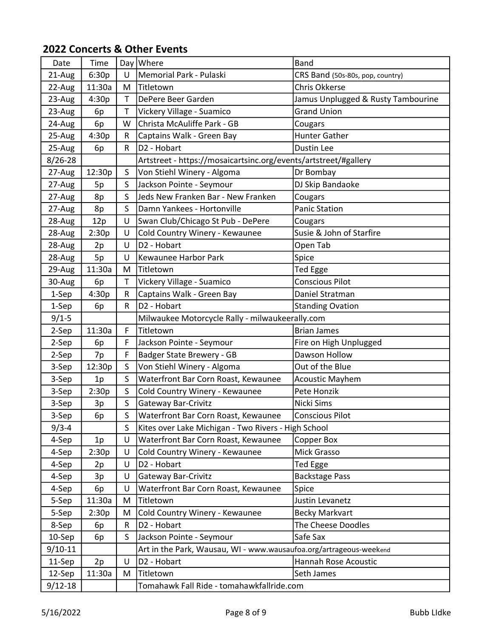| Date        | Time   |              | Day Where                                                          | <b>Band</b>                        |
|-------------|--------|--------------|--------------------------------------------------------------------|------------------------------------|
| 21-Aug      | 6:30p  | $\cup$       | Memorial Park - Pulaski                                            | CRS Band (50s-80s, pop, country)   |
| 22-Aug      | 11:30a | M            | Titletown                                                          | <b>Chris Okkerse</b>               |
| 23-Aug      | 4:30p  | $\mathsf{T}$ | DePere Beer Garden                                                 | Jamus Unplugged & Rusty Tambourine |
| 23-Aug      | 6p     | T            | Vickery Village - Suamico                                          | <b>Grand Union</b>                 |
| 24-Aug      | 6p     | W            | Christa McAuliffe Park - GB                                        | Cougars                            |
| 25-Aug      | 4:30p  | R            | Captains Walk - Green Bay                                          | Hunter Gather                      |
| 25-Aug      | 6p     | $\mathsf{R}$ | D2 - Hobart                                                        | Dustin Lee                         |
| $8/26 - 28$ |        |              | Artstreet - https://mosaicartsinc.org/events/artstreet/#gallery    |                                    |
| 27-Aug      | 12:30p | S            | Von Stiehl Winery - Algoma                                         | Dr Bombay                          |
| 27-Aug      | 5p     | S.           | Jackson Pointe - Seymour                                           | DJ Skip Bandaoke                   |
| 27-Aug      | 8p     | S            | Jeds New Franken Bar - New Franken                                 | Cougars                            |
| 27-Aug      | 8p     | S            | Damn Yankees - Hortonville                                         | <b>Panic Station</b>               |
| 28-Aug      | 12p    | U            | Swan Club/Chicago St Pub - DePere                                  | Cougars                            |
| 28-Aug      | 2:30p  | U            | Cold Country Winery - Kewaunee                                     | Susie & John of Starfire           |
| 28-Aug      | 2p     | U            | D <sub>2</sub> - Hobart                                            | Open Tab                           |
| 28-Aug      | 5p     | U            | Kewaunee Harbor Park                                               | Spice                              |
| 29-Aug      | 11:30a | M            | Titletown                                                          | <b>Ted Egge</b>                    |
| 30-Aug      | 6p     | T            | Vickery Village - Suamico                                          | <b>Conscious Pilot</b>             |
| 1-Sep       | 4:30p  | R            | Captains Walk - Green Bay                                          | Daniel Stratman                    |
| 1-Sep       | 6p     | $\mathsf{R}$ | D <sub>2</sub> - Hobart                                            | <b>Standing Ovation</b>            |
| $9/1 - 5$   |        |              | Milwaukee Motorcycle Rally - milwaukeerally.com                    |                                    |
| 2-Sep       | 11:30a | F            | Titletown                                                          | <b>Brian James</b>                 |
| 2-Sep       | 6p     | F            | Jackson Pointe - Seymour                                           | Fire on High Unplugged             |
| 2-Sep       | 7p     | F            | Badger State Brewery - GB                                          | Dawson Hollow                      |
| 3-Sep       | 12:30p | $\mathsf{S}$ | Von Stiehl Winery - Algoma                                         | Out of the Blue                    |
| 3-Sep       | 1p     | $\mathsf{S}$ | Waterfront Bar Corn Roast, Kewaunee                                | <b>Acoustic Mayhem</b>             |
| 3-Sep       | 2:30p  | S            | Cold Country Winery - Kewaunee                                     | Pete Honzik                        |
| 3-Sep       | 3p     | $\mathsf{S}$ | Gateway Bar-Crivitz                                                | Nicki Sims                         |
| 3-Sep       | 6p     | S            | Waterfront Bar Corn Roast, Kewaunee                                | <b>Conscious Pilot</b>             |
| $9/3 - 4$   |        | S            | Kites over Lake Michigan - Two Rivers - High School                |                                    |
| 4-Sep       | 1p     | U            | Waterfront Bar Corn Roast, Kewaunee                                | Copper Box                         |
| 4-Sep       | 2:30p  | U            | Cold Country Winery - Kewaunee                                     | Mick Grasso                        |
| 4-Sep       | 2p     | U            | D <sub>2</sub> - Hobart                                            | Ted Egge                           |
| 4-Sep       | 3p     | U            | <b>Gateway Bar-Crivitz</b>                                         | <b>Backstage Pass</b>              |
| 4-Sep       | 6p     | U            | Waterfront Bar Corn Roast, Kewaunee                                | Spice                              |
| 5-Sep       | 11:30a | M            | Titletown                                                          | Justin Levanetz                    |
| 5-Sep       | 2:30p  | M            | Cold Country Winery - Kewaunee                                     | <b>Becky Markvart</b>              |
| 8-Sep       | 6p     | R            | D2 - Hobart                                                        | The Cheese Doodles                 |
| 10-Sep      | 6p     | S            | Jackson Pointe - Seymour                                           | Safe Sax                           |
| $9/10 - 11$ |        |              | Art in the Park, Wausau, WI - www.wausaufoa.org/artrageous-weekend |                                    |
| 11-Sep      | 2p     | U            | D2 - Hobart                                                        | Hannah Rose Acoustic               |
| 12-Sep      | 11:30a | M            | Titletown                                                          | Seth James                         |
| $9/12 - 18$ |        |              | Tomahawk Fall Ride - tomahawkfallride.com                          |                                    |